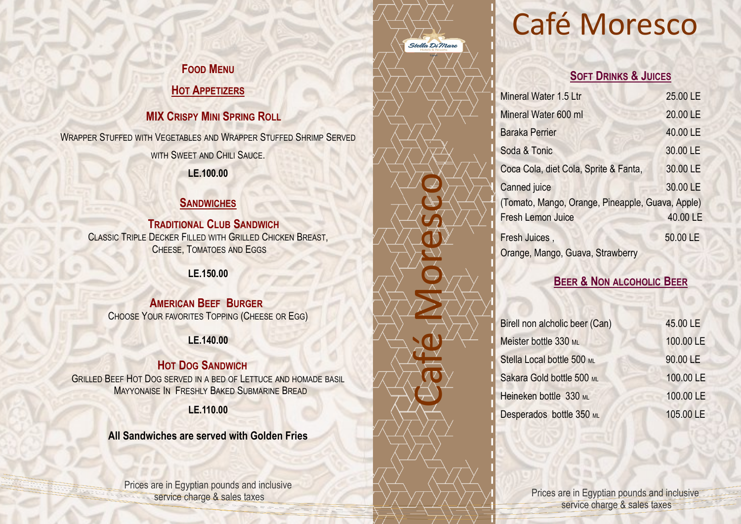# Café Moresco

#### **SOFT DRINKS & JUICES**

| Mineral Water 1.5 Ltr                            | 25.00 LE |
|--------------------------------------------------|----------|
| Mineral Water 600 ml                             | 20.00 LE |
| <b>Baraka Perrier</b>                            | 40.00 LE |
| Soda & Tonic                                     | 30.00 LE |
| Coca Cola, diet Cola, Sprite & Fanta,            | 30.00 LE |
| <b>Canned</b> juice                              | 30.00 LE |
| (Tomato, Mango, Orange, Pineapple, Guava, Apple) |          |
| <b>Fresh Lemon Juice</b>                         | 40.00 LE |
| Fresh Juices,                                    | 50.00 LE |
| Orange, Mango, Guava, Strawberry                 |          |

### **BEER & NON ALCOHOLIC BEER**

| Birell non alcholic beer (Can) | 45.00 LE  |
|--------------------------------|-----------|
| Meister bottle 330 ML          | 100.00 LE |
| Stella Local bottle 500 ML     | 90.00 LE  |
| Sakara Gold bottle 500 ML      | 100.00 LE |
| Heineken bottle 330 ML         | 100.00 LE |
| Desperados bottle 350 ML       | 105.00 LE |

Café Moresco

Stella Di Mare

#### **FOOD MENU**

### **HOT APPETIZERS**

## **MIX CRISPY MINI SPRING ROLL**

WRAPPER STUFFED WITH VEGETABLES AND WRAPPER STUFFED SHRIMP SERVED

WITH SWEET AND CHILI SAUCE.

**LE.100.00** 

## **SANDWICHES**

 **TRADITIONAL CLUB SANDWICH**  CLASSIC TRIPLE DECKER FILLED WITH GRILLED CHICKEN BREAST, CHEESE, TOMATOES AND EGGS

**LE.150.00**

 **AMERICAN BEEF BURGER**  CHOOSE YOUR FAVORITES TOPPING (CHEESE OR EGG)

**LE.140.00**

## **HOT DOG SANDWICH**

GRILLED BEEF HOT DOG SERVED IN A BED OF LETTUCE AND HOMADE BASIL MAYYONAISE IN FRESHLY BAKED SUBMARINE BREAD 

#### **LE.110.00**

**All Sandwiches are served with Golden Fries** 

Prices are in Egyptian pounds and inclusive